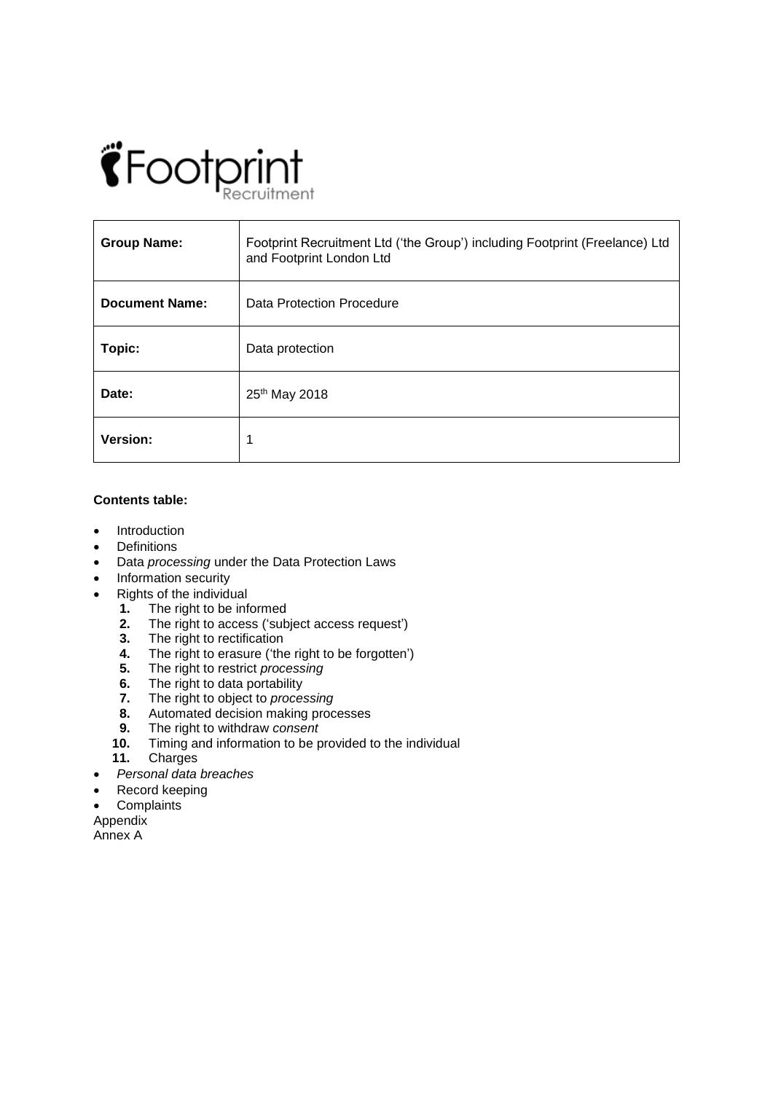# *<i><u>\*Footprint</u>*

| <b>Group Name:</b>    | Footprint Recruitment Ltd ('the Group') including Footprint (Freelance) Ltd<br>and Footprint London Ltd |
|-----------------------|---------------------------------------------------------------------------------------------------------|
| <b>Document Name:</b> | Data Protection Procedure                                                                               |
| Topic:                | Data protection                                                                                         |
| Date:                 | 25th May 2018                                                                                           |
| <b>Version:</b>       |                                                                                                         |

# **Contents table:**

- Introduction
- Definitions
- Data *processing* under the Data Protection Laws
- Information security
- Rights of the individual
	- **1.** The right to be informed
	- **2.** The right to access ('subject access request')<br>**3.** The right to rectification
	- **3.** The right to rectification<br>**4.** The right to erasure ('the
	- **4.** The right to erasure ('the right to be forgotten')<br>**5.** The right to restrict processing
	- **5.** The right to restrict *processing*
	- **6.** The right to data portability<br>**7.** The right to object to *proce*.
	- **7.** The right to object to *processing*
	- **8.** Automated decision making processes
	- **9.** The right to withdraw *consent*
	- **10.** Timing and information to be provided to the individual
	- **11.** Charges
- *Personal data breaches*
- Record keeping
- **Complaints**

Appendix

Annex A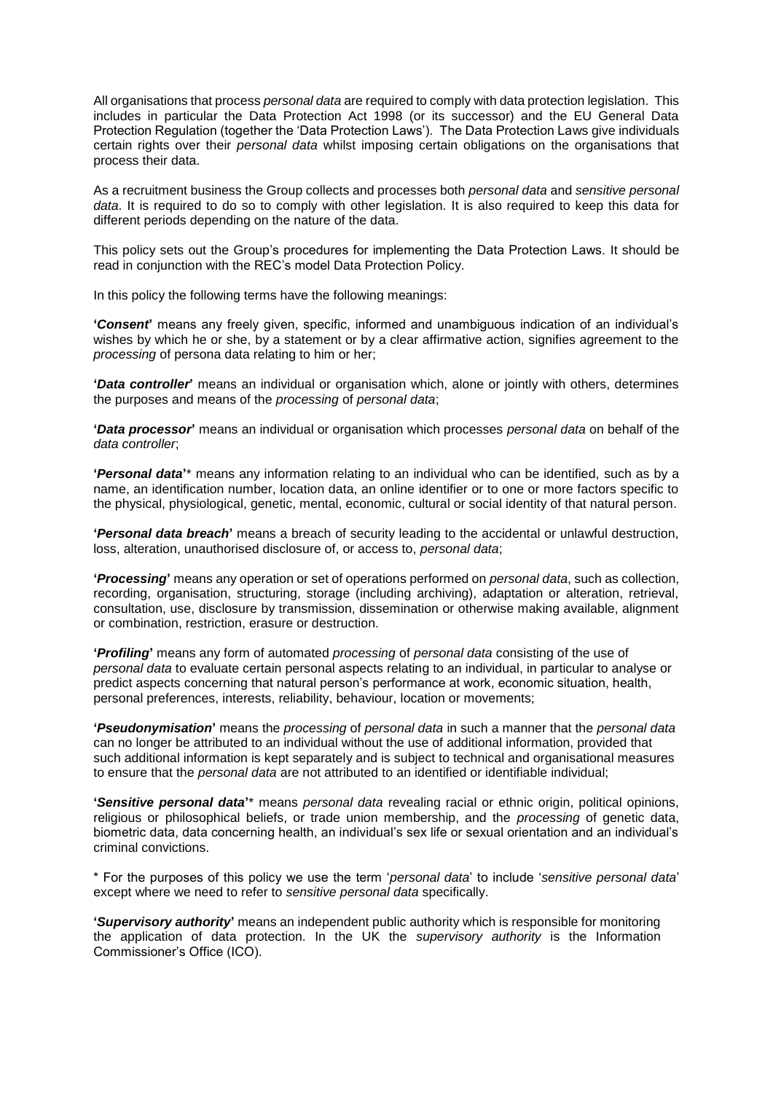All organisations that process *personal data* are required to comply with data protection legislation. This includes in particular the Data Protection Act 1998 (or its successor) and the EU General Data Protection Regulation (together the 'Data Protection Laws'). The Data Protection Laws give individuals certain rights over their *personal data* whilst imposing certain obligations on the organisations that process their data.

As a recruitment business the Group collects and processes both *personal data* and *sensitive personal data*. It is required to do so to comply with other legislation. It is also required to keep this data for different periods depending on the nature of the data.

This policy sets out the Group's procedures for implementing the Data Protection Laws. It should be read in conjunction with the REC's model Data Protection Policy.

In this policy the following terms have the following meanings:

**'***Consent***'** means any freely given, specific, informed and unambiguous indication of an individual's wishes by which he or she, by a statement or by a clear affirmative action, signifies agreement to the *processing* of persona data relating to him or her;

**'***Data controller***'** means an individual or organisation which, alone or jointly with others, determines the purposes and means of the *processing* of *personal data*;

**'***Data processor***'** means an individual or organisation which processes *personal data* on behalf of the *data controller*;

**'***Personal data***'**\* means any information relating to an individual who can be identified, such as by a name, an identification number, location data, an online identifier or to one or more factors specific to the physical, physiological, genetic, mental, economic, cultural or social identity of that natural person.

**'***Personal data breach***'** means a breach of security leading to the accidental or unlawful destruction, loss, alteration, unauthorised disclosure of, or access to, *personal data*;

**'***Processing***'** means any operation or set of operations performed on *personal data*, such as collection, recording, organisation, structuring, storage (including archiving), adaptation or alteration, retrieval, consultation, use, disclosure by transmission, dissemination or otherwise making available, alignment or combination, restriction, erasure or destruction.

**'***Profiling***'** means any form of automated *processing* of *personal data* consisting of the use of *personal data* to evaluate certain personal aspects relating to an individual, in particular to analyse or predict aspects concerning that natural person's performance at work, economic situation, health, personal preferences, interests, reliability, behaviour, location or movements;

**'***Pseudonymisation***'** means the *processing* of *personal data* in such a manner that the *personal data* can no longer be attributed to an individual without the use of additional information, provided that such additional information is kept separately and is subject to technical and organisational measures to ensure that the *personal data* are not attributed to an identified or identifiable individual;

**'***Sensitive personal data***'**\* means *personal data* revealing racial or ethnic origin, political opinions, religious or philosophical beliefs, or trade union membership, and the *processing* of genetic data, biometric data, data concerning health, an individual's sex life or sexual orientation and an individual's criminal convictions.

\* For the purposes of this policy we use the term '*personal data*' to include '*sensitive personal data*' except where we need to refer to *sensitive personal data* specifically.

**'***Supervisory authority***'** means an independent public authority which is responsible for monitoring the application of data protection. In the UK the *supervisory authority* is the Information Commissioner's Office (ICO).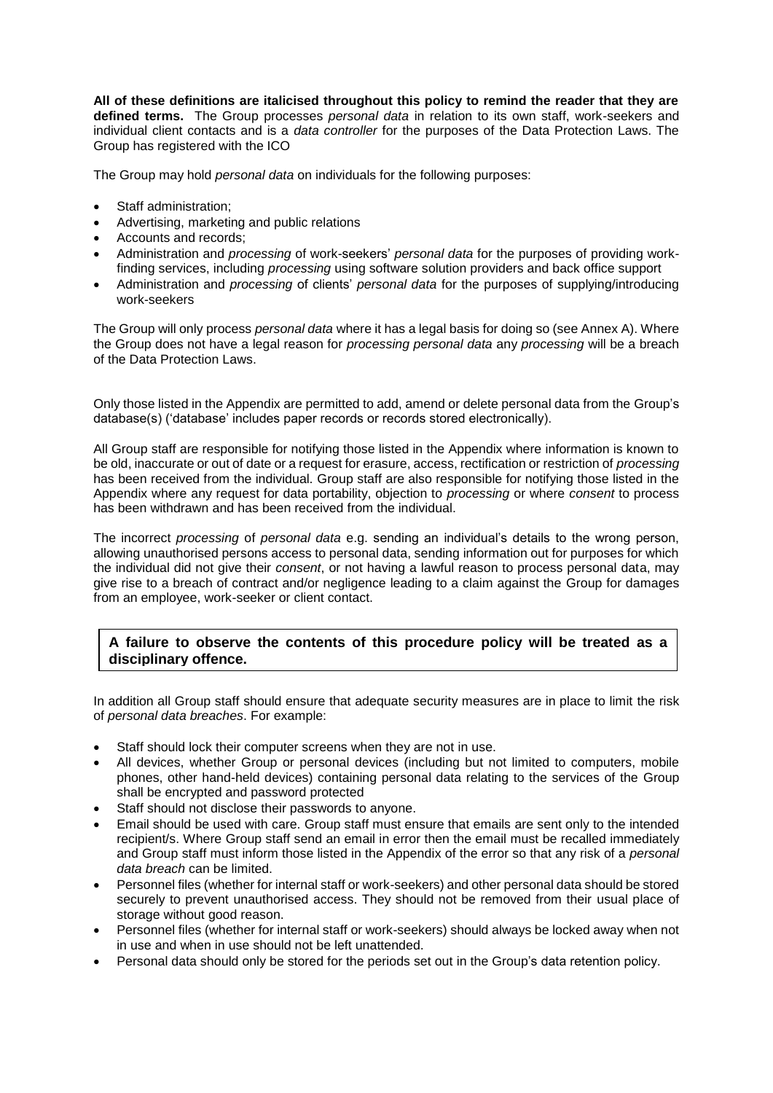**All of these definitions are italicised throughout this policy to remind the reader that they are defined terms.** The Group processes *personal data* in relation to its own staff, work-seekers and individual client contacts and is a *data controller* for the purposes of the Data Protection Laws. The Group has registered with the ICO

The Group may hold *personal data* on individuals for the following purposes:

- Staff administration;
- Advertising, marketing and public relations
- Accounts and records;
- Administration and *processing* of work-seekers' *personal data* for the purposes of providing workfinding services, including *processing* using software solution providers and back office support
- Administration and *processing* of clients' *personal data* for the purposes of supplying/introducing work-seekers

The Group will only process *personal data* where it has a legal basis for doing so (see Annex A). Where the Group does not have a legal reason for *processing personal data* any *processing* will be a breach of the Data Protection Laws.

Only those listed in the Appendix are permitted to add, amend or delete personal data from the Group's database(s) ('database' includes paper records or records stored electronically).

All Group staff are responsible for notifying those listed in the Appendix where information is known to be old, inaccurate or out of date or a request for erasure, access, rectification or restriction of *processing* has been received from the individual. Group staff are also responsible for notifying those listed in the Appendix where any request for data portability, objection to *processing* or where *consent* to process has been withdrawn and has been received from the individual.

The incorrect *processing* of *personal data* e.g. sending an individual's details to the wrong person, allowing unauthorised persons access to personal data, sending information out for purposes for which the individual did not give their *consent*, or not having a lawful reason to process personal data, may give rise to a breach of contract and/or negligence leading to a claim against the Group for damages from an employee, work-seeker or client contact.

# **A failure to observe the contents of this procedure policy will be treated as a disciplinary offence.**

In addition all Group staff should ensure that adequate security measures are in place to limit the risk of *personal data breaches*. For example:

- Staff should lock their computer screens when they are not in use.
- All devices, whether Group or personal devices (including but not limited to computers, mobile phones, other hand-held devices) containing personal data relating to the services of the Group shall be encrypted and password protected
- Staff should not disclose their passwords to anyone.
- Email should be used with care. Group staff must ensure that emails are sent only to the intended recipient/s. Where Group staff send an email in error then the email must be recalled immediately and Group staff must inform those listed in the Appendix of the error so that any risk of a *personal data breach* can be limited.
- Personnel files (whether for internal staff or work-seekers) and other personal data should be stored securely to prevent unauthorised access. They should not be removed from their usual place of storage without good reason.
- Personnel files (whether for internal staff or work-seekers) should always be locked away when not in use and when in use should not be left unattended.
- Personal data should only be stored for the periods set out in the Group's data retention policy.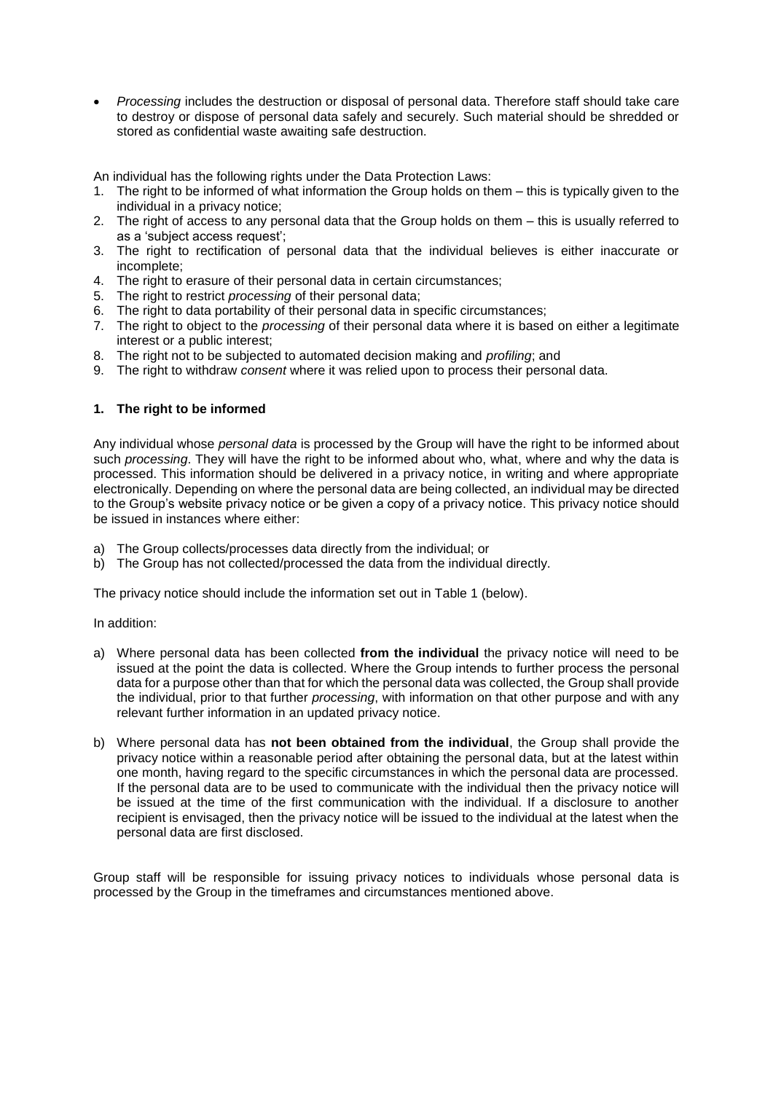*Processing* includes the destruction or disposal of personal data. Therefore staff should take care to destroy or dispose of personal data safely and securely. Such material should be shredded or stored as confidential waste awaiting safe destruction.

An individual has the following rights under the Data Protection Laws:

- 1. The right to be informed of what information the Group holds on them this is typically given to the individual in a privacy notice;
- 2. The right of access to any personal data that the Group holds on them this is usually referred to as a 'subject access request';
- 3. The right to rectification of personal data that the individual believes is either inaccurate or incomplete;
- 4. The right to erasure of their personal data in certain circumstances;
- 5. The right to restrict *processing* of their personal data;
- 6. The right to data portability of their personal data in specific circumstances;
- 7. The right to object to the *processing* of their personal data where it is based on either a legitimate interest or a public interest;
- 8. The right not to be subjected to automated decision making and *profiling*; and
- 9. The right to withdraw *consent* where it was relied upon to process their personal data.

# **1. The right to be informed**

Any individual whose *personal data* is processed by the Group will have the right to be informed about such *processing*. They will have the right to be informed about who, what, where and why the data is processed. This information should be delivered in a privacy notice, in writing and where appropriate electronically. Depending on where the personal data are being collected, an individual may be directed to the Group's website privacy notice or be given a copy of a privacy notice. This privacy notice should be issued in instances where either:

- a) The Group collects/processes data directly from the individual; or
- b) The Group has not collected/processed the data from the individual directly.

The privacy notice should include the information set out in Table 1 (below).

In addition:

- a) Where personal data has been collected **from the individual** the privacy notice will need to be issued at the point the data is collected. Where the Group intends to further process the personal data for a purpose other than that for which the personal data was collected, the Group shall provide the individual, prior to that further *processing*, with information on that other purpose and with any relevant further information in an updated privacy notice.
- b) Where personal data has **not been obtained from the individual**, the Group shall provide the privacy notice within a reasonable period after obtaining the personal data, but at the latest within one month, having regard to the specific circumstances in which the personal data are processed. If the personal data are to be used to communicate with the individual then the privacy notice will be issued at the time of the first communication with the individual. If a disclosure to another recipient is envisaged, then the privacy notice will be issued to the individual at the latest when the personal data are first disclosed.

Group staff will be responsible for issuing privacy notices to individuals whose personal data is processed by the Group in the timeframes and circumstances mentioned above.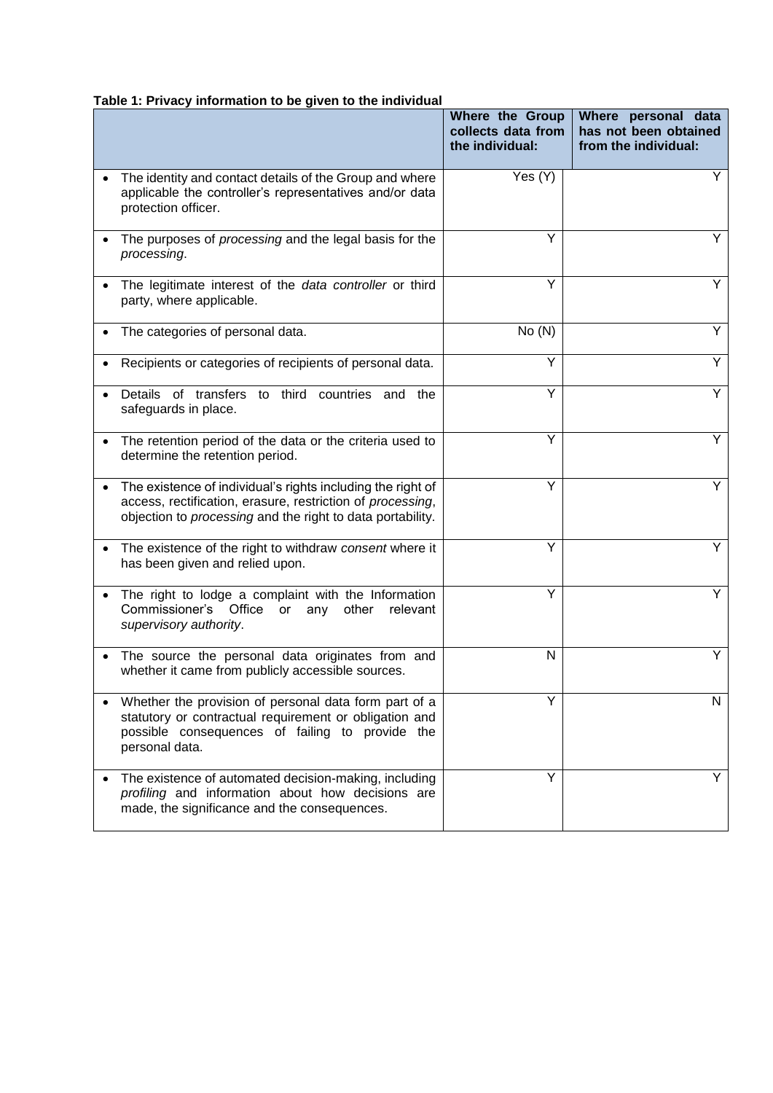# **Table 1: Privacy information to be given to the individual**

|                                                                                                                                                                                                      | Where the Group<br>collects data from<br>the individual: | Where personal data<br>has not been obtained<br>from the individual: |
|------------------------------------------------------------------------------------------------------------------------------------------------------------------------------------------------------|----------------------------------------------------------|----------------------------------------------------------------------|
| The identity and contact details of the Group and where<br>applicable the controller's representatives and/or data<br>protection officer.                                                            | Yes (Y)                                                  | Y                                                                    |
| The purposes of <i>processing</i> and the legal basis for the<br>processing.                                                                                                                         | Y                                                        | Y                                                                    |
| The legitimate interest of the data controller or third<br>party, where applicable.                                                                                                                  | Y                                                        | Y                                                                    |
| The categories of personal data.                                                                                                                                                                     | No(N)                                                    | Y                                                                    |
| Recipients or categories of recipients of personal data.                                                                                                                                             | Y                                                        | Y                                                                    |
| Details of transfers to third countries and the<br>safeguards in place.                                                                                                                              | Y                                                        | Y                                                                    |
| The retention period of the data or the criteria used to<br>determine the retention period.                                                                                                          | Y                                                        | Y                                                                    |
| The existence of individual's rights including the right of<br>$\bullet$<br>access, rectification, erasure, restriction of processing,<br>objection to processing and the right to data portability. | Y                                                        | Y                                                                    |
| The existence of the right to withdraw consent where it<br>has been given and relied upon.                                                                                                           | Υ                                                        | Y                                                                    |
| The right to lodge a complaint with the Information<br>Commissioner's Office<br>other<br>relevant<br>or<br>any<br>supervisory authority.                                                             | Y                                                        | Y                                                                    |
| The source the personal data originates from and<br>$\bullet$<br>whether it came from publicly accessible sources.                                                                                   | N                                                        |                                                                      |
| Whether the provision of personal data form part of a<br>statutory or contractual requirement or obligation and<br>possible consequences of failing to provide the<br>personal data.                 | Υ                                                        | N                                                                    |
| The existence of automated decision-making, including<br>profiling and information about how decisions are<br>made, the significance and the consequences.                                           | Y                                                        |                                                                      |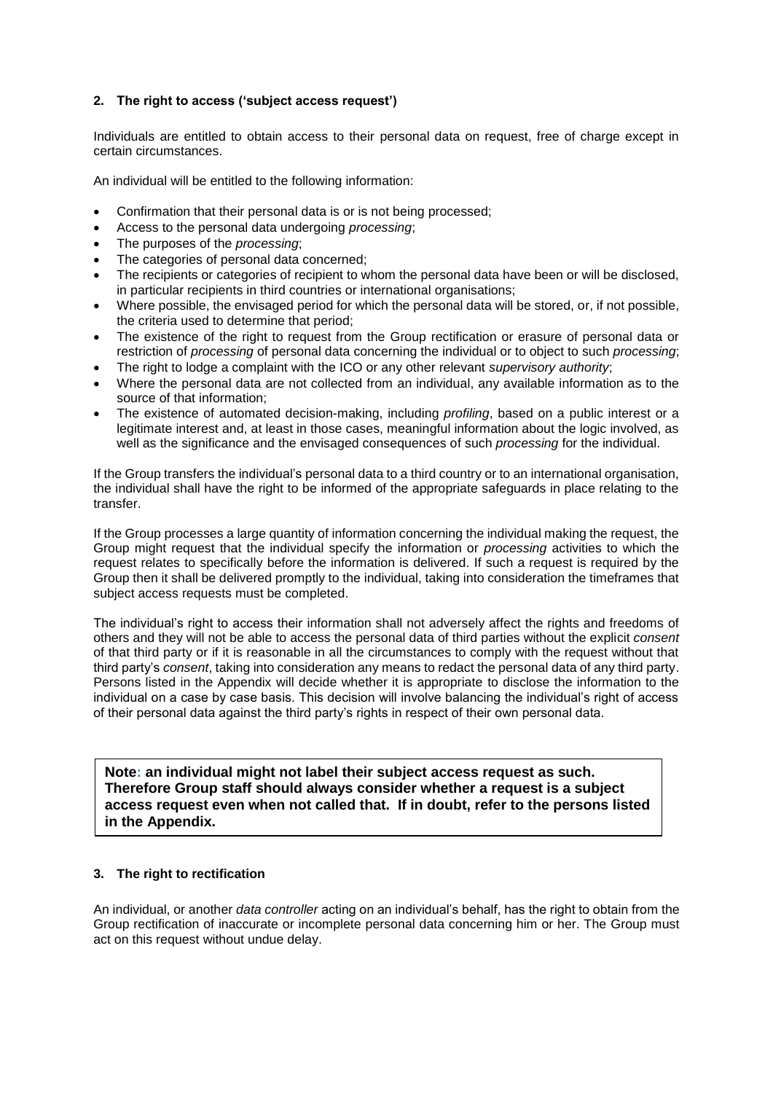# **2. The right to access ('subject access request')**

Individuals are entitled to obtain access to their personal data on request, free of charge except in certain circumstances.

An individual will be entitled to the following information:

- Confirmation that their personal data is or is not being processed:
- Access to the personal data undergoing *processing*;
- The purposes of the *processing*;
- The categories of personal data concerned;
- The recipients or categories of recipient to whom the personal data have been or will be disclosed, in particular recipients in third countries or international organisations;
- Where possible, the envisaged period for which the personal data will be stored, or, if not possible, the criteria used to determine that period;
- The existence of the right to request from the Group rectification or erasure of personal data or restriction of *processing* of personal data concerning the individual or to object to such *processing*;
- The right to lodge a complaint with the ICO or any other relevant *supervisory authority*;
- Where the personal data are not collected from an individual, any available information as to the source of that information;
- The existence of automated decision-making, including *profiling*, based on a public interest or a legitimate interest and, at least in those cases, meaningful information about the logic involved, as well as the significance and the envisaged consequences of such *processing* for the individual.

If the Group transfers the individual's personal data to a third country or to an international organisation, the individual shall have the right to be informed of the appropriate safeguards in place relating to the transfer.

If the Group processes a large quantity of information concerning the individual making the request, the Group might request that the individual specify the information or *processing* activities to which the request relates to specifically before the information is delivered. If such a request is required by the Group then it shall be delivered promptly to the individual, taking into consideration the timeframes that subject access requests must be completed.

The individual's right to access their information shall not adversely affect the rights and freedoms of others and they will not be able to access the personal data of third parties without the explicit *consent* of that third party or if it is reasonable in all the circumstances to comply with the request without that third party's *consent*, taking into consideration any means to redact the personal data of any third party. Persons listed in the Appendix will decide whether it is appropriate to disclose the information to the individual on a case by case basis. This decision will involve balancing the individual's right of access of their personal data against the third party's rights in respect of their own personal data.

**Note: an individual might not label their subject access request as such. Therefore Group staff should always consider whether a request is a subject access request even when not called that. If in doubt, refer to the persons listed in the Appendix.**

# **3. The right to rectification**

An individual, or another *data controller* acting on an individual's behalf, has the right to obtain from the Group rectification of inaccurate or incomplete personal data concerning him or her. The Group must act on this request without undue delay.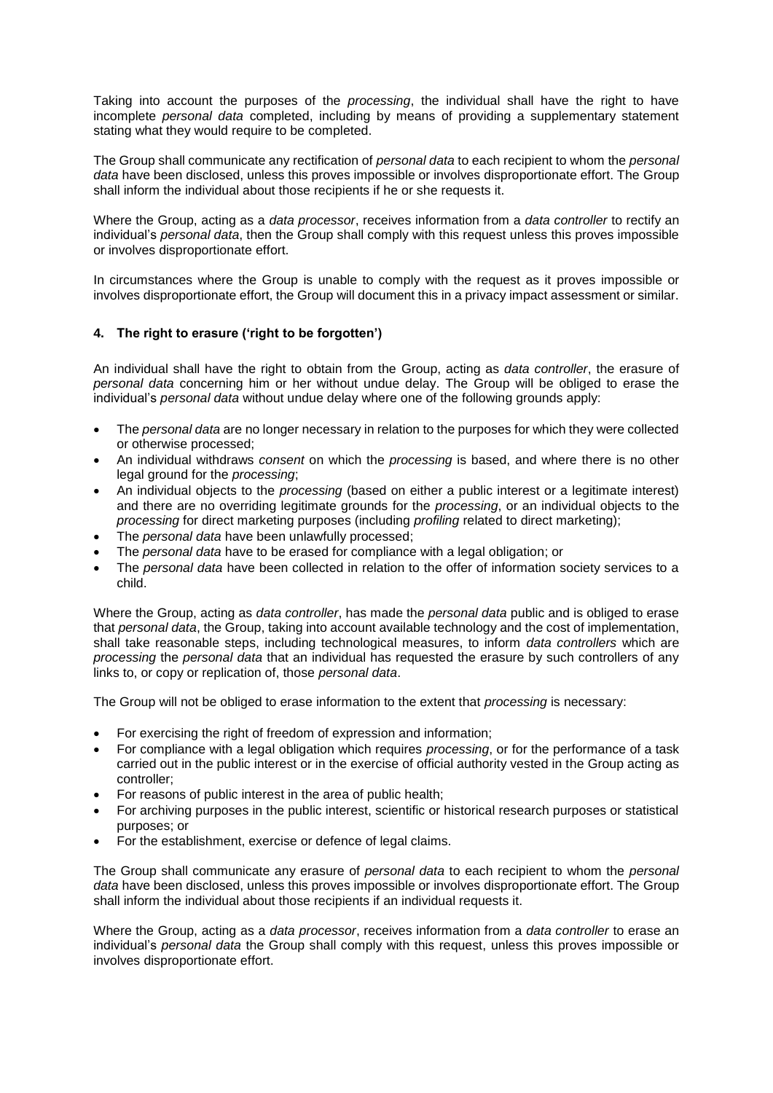Taking into account the purposes of the *processing*, the individual shall have the right to have incomplete *personal data* completed, including by means of providing a supplementary statement stating what they would require to be completed.

The Group shall communicate any rectification of *personal data* to each recipient to whom the *personal data* have been disclosed, unless this proves impossible or involves disproportionate effort. The Group shall inform the individual about those recipients if he or she requests it.

Where the Group, acting as a *data processor*, receives information from a *data controller* to rectify an individual's *personal data*, then the Group shall comply with this request unless this proves impossible or involves disproportionate effort.

In circumstances where the Group is unable to comply with the request as it proves impossible or involves disproportionate effort, the Group will document this in a privacy impact assessment or similar.

# **4. The right to erasure ('right to be forgotten')**

An individual shall have the right to obtain from the Group, acting as *data controller*, the erasure of *personal data* concerning him or her without undue delay. The Group will be obliged to erase the individual's *personal data* without undue delay where one of the following grounds apply:

- The *personal data* are no longer necessary in relation to the purposes for which they were collected or otherwise processed;
- An individual withdraws *consent* on which the *processing* is based, and where there is no other legal ground for the *processing*;
- An individual objects to the *processing* (based on either a public interest or a legitimate interest) and there are no overriding legitimate grounds for the *processing*, or an individual objects to the *processing* for direct marketing purposes (including *profiling* related to direct marketing);
- The *personal data* have been unlawfully processed;
- The *personal data* have to be erased for compliance with a legal obligation; or
- The *personal data* have been collected in relation to the offer of information society services to a child.

Where the Group, acting as *data controller*, has made the *personal data* public and is obliged to erase that *personal data*, the Group, taking into account available technology and the cost of implementation, shall take reasonable steps, including technological measures, to inform *data controllers* which are *processing* the *personal data* that an individual has requested the erasure by such controllers of any links to, or copy or replication of, those *personal data*.

The Group will not be obliged to erase information to the extent that *processing* is necessary:

- For exercising the right of freedom of expression and information;
- For compliance with a legal obligation which requires *processing*, or for the performance of a task carried out in the public interest or in the exercise of official authority vested in the Group acting as controller;
- For reasons of public interest in the area of public health;
- For archiving purposes in the public interest, scientific or historical research purposes or statistical purposes; or
- For the establishment, exercise or defence of legal claims.

The Group shall communicate any erasure of *personal data* to each recipient to whom the *personal data* have been disclosed, unless this proves impossible or involves disproportionate effort. The Group shall inform the individual about those recipients if an individual requests it.

Where the Group, acting as a *data processor*, receives information from a *data controller* to erase an individual's *personal data* the Group shall comply with this request, unless this proves impossible or involves disproportionate effort.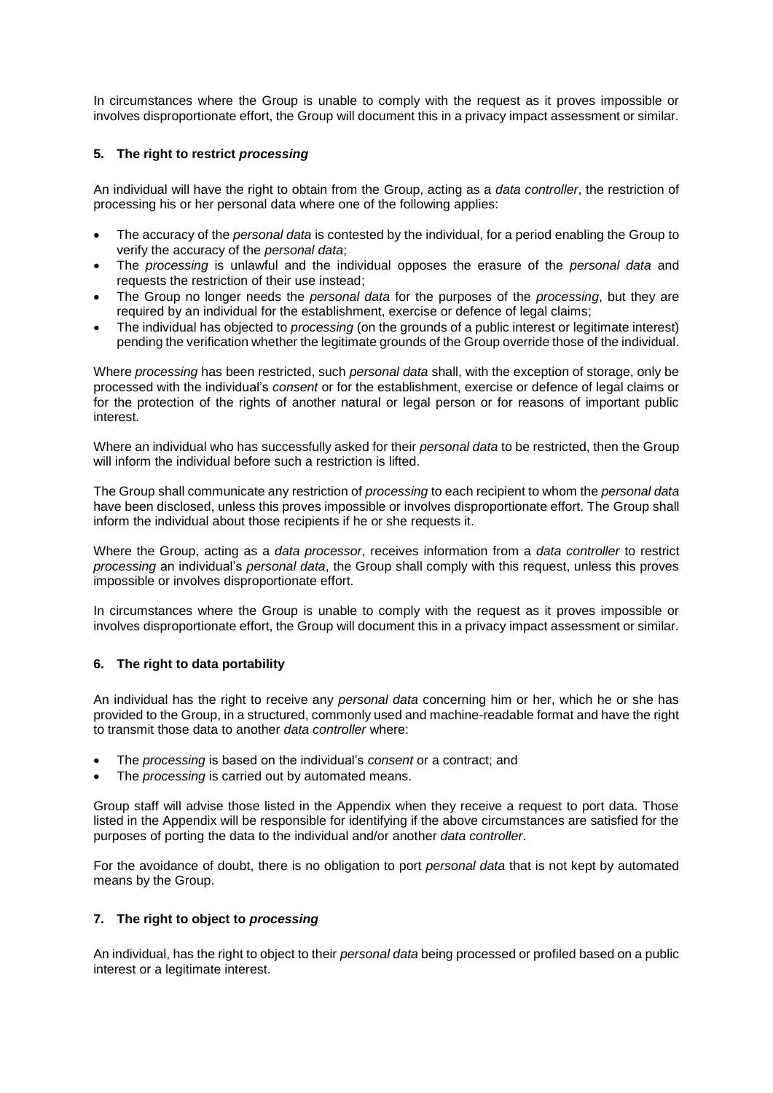In circumstances where the Group is unable to comply with the request as it proves impossible or involves disproportionate effort, the Group will document this in a privacy impact assessment or similar.

# **5. The right to restrict** *processing*

An individual will have the right to obtain from the Group, acting as a *data controller*, the restriction of processing his or her personal data where one of the following applies:

- The accuracy of the *personal data* is contested by the individual, for a period enabling the Group to verify the accuracy of the *personal data*;
- The *processing* is unlawful and the individual opposes the erasure of the *personal data* and requests the restriction of their use instead;
- The Group no longer needs the *personal data* for the purposes of the *processing*, but they are required by an individual for the establishment, exercise or defence of legal claims;
- The individual has objected to *processing* (on the grounds of a public interest or legitimate interest) pending the verification whether the legitimate grounds of the Group override those of the individual.

Where *processing* has been restricted, such *personal data* shall, with the exception of storage, only be processed with the individual's *consent* or for the establishment, exercise or defence of legal claims or for the protection of the rights of another natural or legal person or for reasons of important public interest.

Where an individual who has successfully asked for their *personal data* to be restricted, then the Group will inform the individual before such a restriction is lifted.

The Group shall communicate any restriction of *processing* to each recipient to whom the *personal data* have been disclosed, unless this proves impossible or involves disproportionate effort. The Group shall inform the individual about those recipients if he or she requests it.

Where the Group, acting as a *data processor*, receives information from a *data controller* to restrict *processing* an individual's *personal data*, the Group shall comply with this request, unless this proves impossible or involves disproportionate effort.

In circumstances where the Group is unable to comply with the request as it proves impossible or involves disproportionate effort, the Group will document this in a privacy impact assessment or similar.

#### **6. The right to data portability**

An individual has the right to receive any *personal data* concerning him or her, which he or she has provided to the Group, in a structured, commonly used and machine-readable format and have the right to transmit those data to another *data controller* where:

- The *processing* is based on the individual's *consent* or a contract; and
- The *processing* is carried out by automated means.

Group staff will advise those listed in the Appendix when they receive a request to port data. Those listed in the Appendix will be responsible for identifying if the above circumstances are satisfied for the purposes of porting the data to the individual and/or another *data controller*.

For the avoidance of doubt, there is no obligation to port *personal data* that is not kept by automated means by the Group.

#### **7. The right to object to** *processing*

An individual, has the right to object to their *personal data* being processed or profiled based on a public interest or a legitimate interest.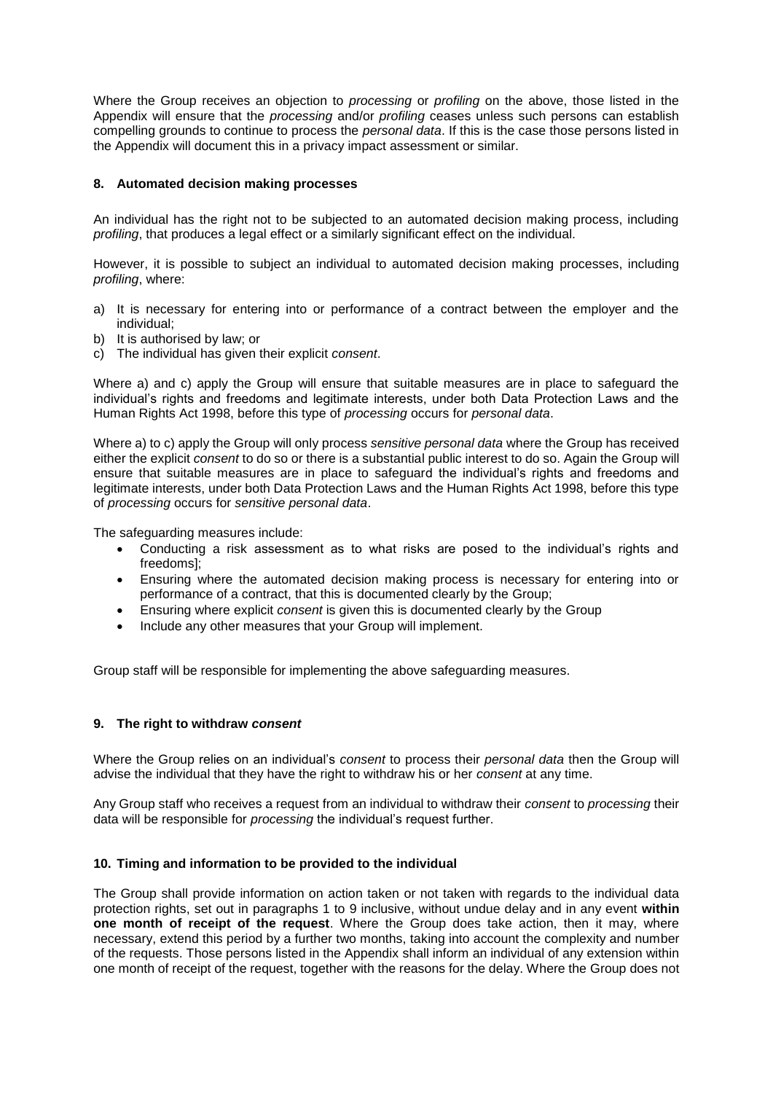Where the Group receives an objection to *processing* or *profiling* on the above, those listed in the Appendix will ensure that the *processing* and/or *profiling* ceases unless such persons can establish compelling grounds to continue to process the *personal data*. If this is the case those persons listed in the Appendix will document this in a privacy impact assessment or similar.

#### **8. Automated decision making processes**

An individual has the right not to be subjected to an automated decision making process, including *profiling*, that produces a legal effect or a similarly significant effect on the individual.

However, it is possible to subject an individual to automated decision making processes, including *profiling*, where:

- a) It is necessary for entering into or performance of a contract between the employer and the individual;
- b) It is authorised by law; or
- c) The individual has given their explicit *consent*.

Where a) and c) apply the Group will ensure that suitable measures are in place to safeguard the individual's rights and freedoms and legitimate interests, under both Data Protection Laws and the Human Rights Act 1998, before this type of *processing* occurs for *personal data*.

Where a) to c) apply the Group will only process *sensitive personal data* where the Group has received either the explicit *consent* to do so or there is a substantial public interest to do so. Again the Group will ensure that suitable measures are in place to safeguard the individual's rights and freedoms and legitimate interests, under both Data Protection Laws and the Human Rights Act 1998, before this type of *processing* occurs for *sensitive personal data*.

The safeguarding measures include:

- Conducting a risk assessment as to what risks are posed to the individual's rights and freedoms];
- Ensuring where the automated decision making process is necessary for entering into or performance of a contract, that this is documented clearly by the Group;
- Ensuring where explicit *consent* is given this is documented clearly by the Group
- Include any other measures that your Group will implement.

Group staff will be responsible for implementing the above safeguarding measures.

#### **9. The right to withdraw** *consent*

Where the Group relies on an individual's *consent* to process their *personal data* then the Group will advise the individual that they have the right to withdraw his or her *consent* at any time.

Any Group staff who receives a request from an individual to withdraw their *consent* to *processing* their data will be responsible for *processing* the individual's request further.

#### **10. Timing and information to be provided to the individual**

The Group shall provide information on action taken or not taken with regards to the individual data protection rights, set out in paragraphs 1 to 9 inclusive, without undue delay and in any event **within one month of receipt of the request**. Where the Group does take action, then it may, where necessary, extend this period by a further two months, taking into account the complexity and number of the requests. Those persons listed in the Appendix shall inform an individual of any extension within one month of receipt of the request, together with the reasons for the delay. Where the Group does not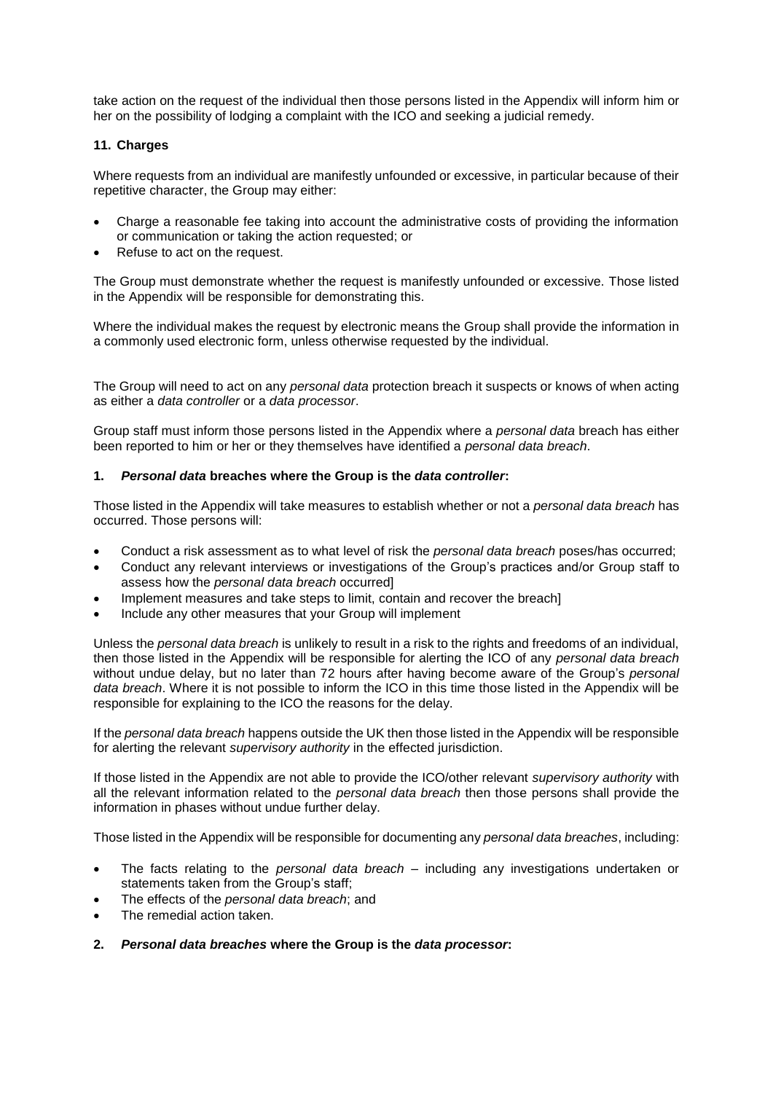take action on the request of the individual then those persons listed in the Appendix will inform him or her on the possibility of lodging a complaint with the ICO and seeking a judicial remedy.

# **11. Charges**

Where requests from an individual are manifestly unfounded or excessive, in particular because of their repetitive character, the Group may either:

- Charge a reasonable fee taking into account the administrative costs of providing the information or communication or taking the action requested; or
- Refuse to act on the request.

The Group must demonstrate whether the request is manifestly unfounded or excessive. Those listed in the Appendix will be responsible for demonstrating this.

Where the individual makes the request by electronic means the Group shall provide the information in a commonly used electronic form, unless otherwise requested by the individual.

The Group will need to act on any *personal data* protection breach it suspects or knows of when acting as either a *data controller* or a *data processor*.

Group staff must inform those persons listed in the Appendix where a *personal data* breach has either been reported to him or her or they themselves have identified a *personal data breach*.

#### **1.** *Personal data* **breaches where the Group is the** *data controller***:**

Those listed in the Appendix will take measures to establish whether or not a *personal data breach* has occurred. Those persons will:

- Conduct a risk assessment as to what level of risk the *personal data breach* poses/has occurred;
- Conduct any relevant interviews or investigations of the Group's practices and/or Group staff to assess how the *personal data breach* occurred]
- Implement measures and take steps to limit, contain and recover the breach]
- Include any other measures that your Group will implement

Unless the *personal data breach* is unlikely to result in a risk to the rights and freedoms of an individual, then those listed in the Appendix will be responsible for alerting the ICO of any *personal data breach* without undue delay, but no later than 72 hours after having become aware of the Group's *personal data breach*. Where it is not possible to inform the ICO in this time those listed in the Appendix will be responsible for explaining to the ICO the reasons for the delay.

If the *personal data breach* happens outside the UK then those listed in the Appendix will be responsible for alerting the relevant *supervisory authority* in the effected jurisdiction.

If those listed in the Appendix are not able to provide the ICO/other relevant *supervisory authority* with all the relevant information related to the *personal data breach* then those persons shall provide the information in phases without undue further delay.

Those listed in the Appendix will be responsible for documenting any *personal data breaches*, including:

- The facts relating to the *personal data breach* including any investigations undertaken or statements taken from the Group's staff;
- The effects of the *personal data breach*; and
- The remedial action taken.
- **2.** *Personal data breaches* **where the Group is the** *data processor***:**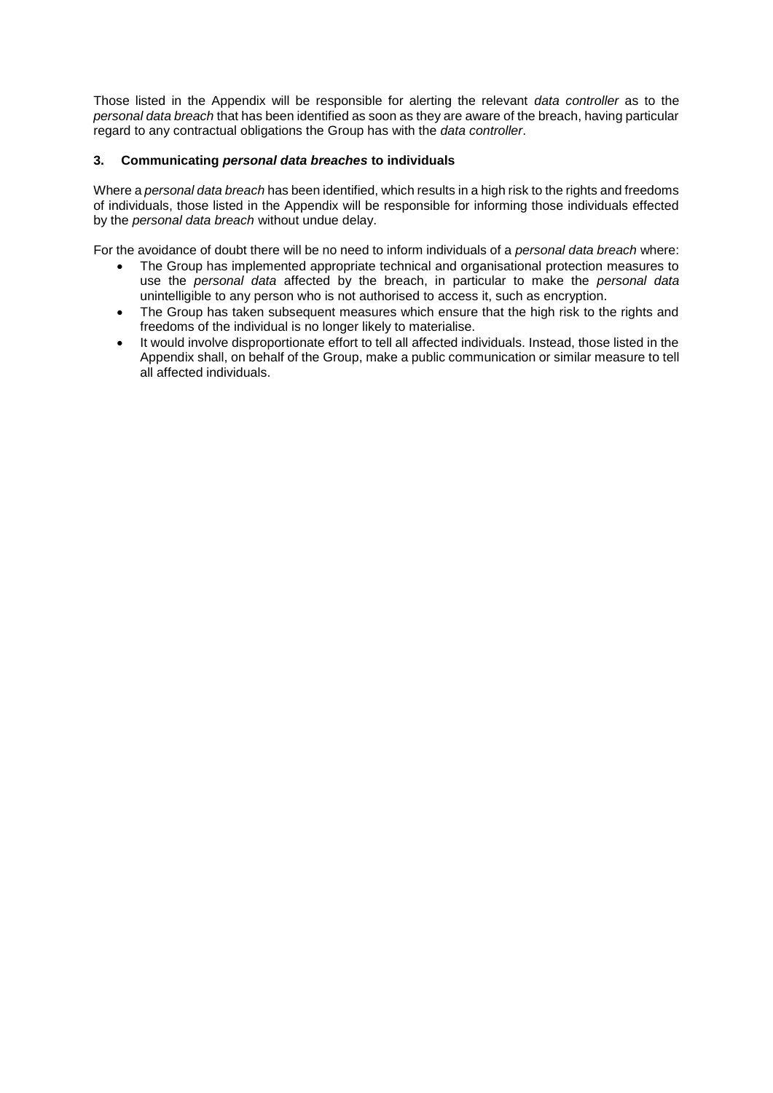Those listed in the Appendix will be responsible for alerting the relevant *data controller* as to the *personal data breach* that has been identified as soon as they are aware of the breach, having particular regard to any contractual obligations the Group has with the *data controller*.

# **3. Communicating** *personal data breaches* **to individuals**

Where a *personal data breach* has been identified, which results in a high risk to the rights and freedoms of individuals, those listed in the Appendix will be responsible for informing those individuals effected by the *personal data breach* without undue delay.

For the avoidance of doubt there will be no need to inform individuals of a *personal data breach* where:

- The Group has implemented appropriate technical and organisational protection measures to use the *personal data* affected by the breach, in particular to make the *personal data* unintelligible to any person who is not authorised to access it, such as encryption.
- The Group has taken subsequent measures which ensure that the high risk to the rights and freedoms of the individual is no longer likely to materialise.
- It would involve disproportionate effort to tell all affected individuals. Instead, those listed in the Appendix shall, on behalf of the Group, make a public communication or similar measure to tell all affected individuals.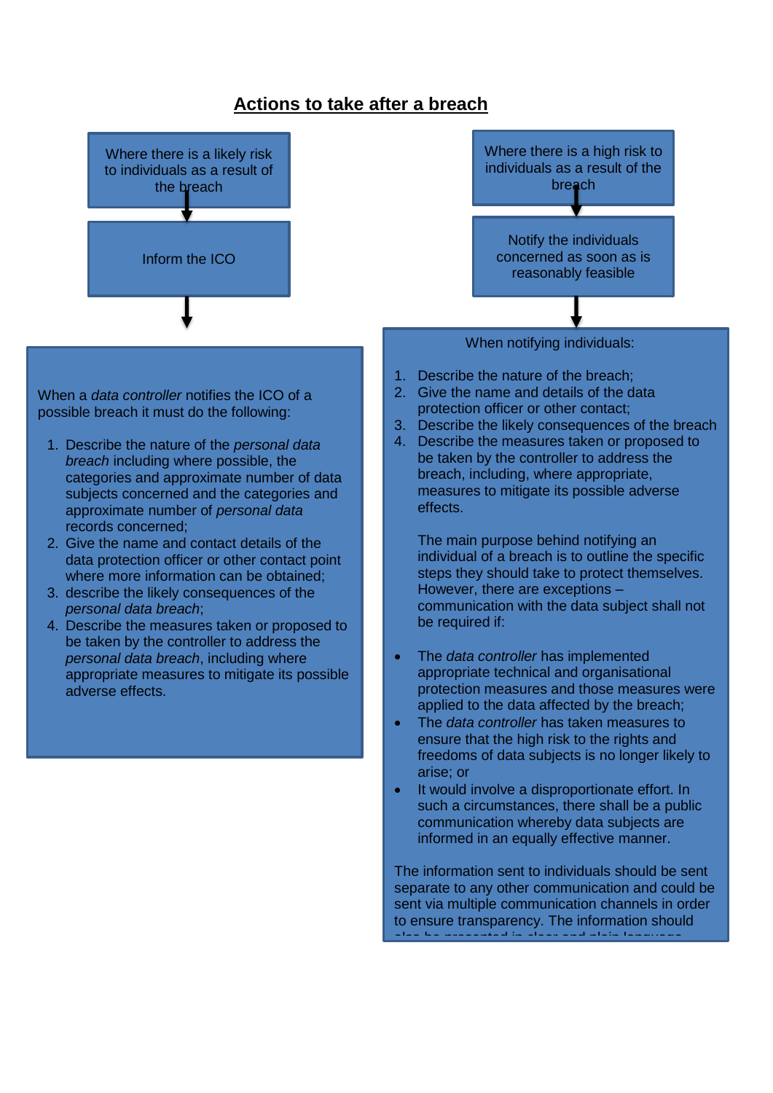# **Actions to take after a breach**



The information sent to individuals should be sent separate to any other communication and could be sent via multiple communication channels in order to ensure transparency. The information should also be presented in clear and plain language.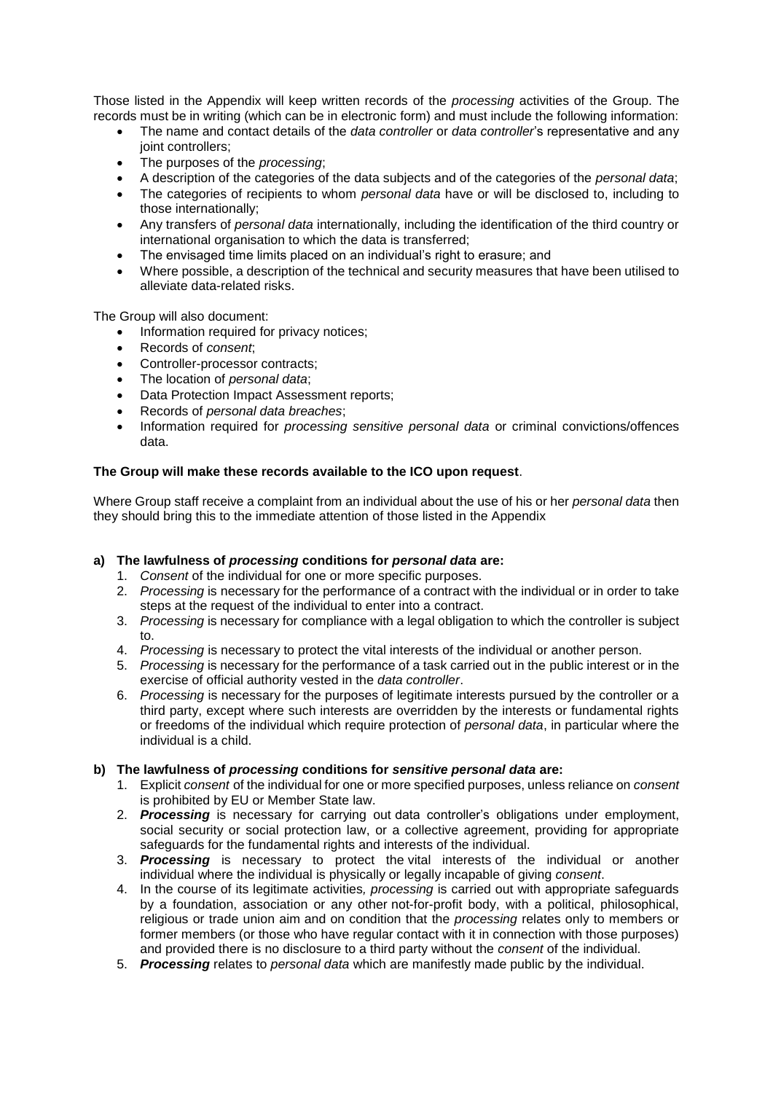Those listed in the Appendix will keep written records of the *processing* activities of the Group. The records must be in writing (which can be in electronic form) and must include the following information:

- The name and contact details of the *data controller* or *data controller*'s representative and any joint controllers;
- The purposes of the *processing*;
- A description of the categories of the data subjects and of the categories of the *personal data*;
- The categories of recipients to whom *personal data* have or will be disclosed to, including to those internationally;
- Any transfers of *personal data* internationally, including the identification of the third country or international organisation to which the data is transferred;
- The envisaged time limits placed on an individual's right to erasure; and
- Where possible, a description of the technical and security measures that have been utilised to alleviate data-related risks.

The Group will also document:

- Information required for privacy notices;
- Records of *consent*;
- Controller-processor contracts:
- The location of *personal data*;
- Data Protection Impact Assessment reports;
- Records of *personal data breaches*;
- Information required for *processing sensitive personal data* or criminal convictions/offences data.

#### **The Group will make these records available to the ICO upon request**.

Where Group staff receive a complaint from an individual about the use of his or her *personal data* then they should bring this to the immediate attention of those listed in the Appendix

#### **a) The lawfulness of** *processing* **conditions for** *personal data* **are:**

- 1. *Consent* of the individual for one or more specific purposes.
- 2. *Processing* is necessary for the performance of a contract with the individual or in order to take steps at the request of the individual to enter into a contract.
- 3. *Processing* is necessary for compliance with a legal obligation to which the controller is subject to.
- 4. *Processing* is necessary to protect the vital interests of the individual or another person.
- 5. *Processing* is necessary for the performance of a task carried out in the public interest or in the exercise of official authority vested in the *data controller*.
- 6. *Processing* is necessary for the purposes of legitimate interests pursued by the controller or a third party, except where such interests are overridden by the interests or fundamental rights or freedoms of the individual which require protection of *personal data*, in particular where the individual is a child.

#### **b) The lawfulness of** *processing* **conditions for** *sensitive personal data* **are:**

- 1. Explicit *consent* of the individual for one or more specified purposes, unless reliance on *consent* is prohibited by EU or Member State law.
- 2. *Processing* is necessary for carrying out data controller's obligations under employment, social security or social protection law, or a collective agreement, providing for appropriate safeguards for the fundamental rights and interests of the individual.
- 3. *Processing* is necessary to protect the vital interests of the individual or another individual where the individual is physically or legally incapable of giving *consent*.
- 4. In the course of its legitimate activities*, processing* is carried out with appropriate safeguards by a foundation, association or any other not-for-profit body, with a political, philosophical, religious or trade union aim and on condition that the *processing* relates only to members or former members (or those who have regular contact with it in connection with those purposes) and provided there is no disclosure to a third party without the *consent* of the individual.
- 5. *Processing* relates to *personal data* which are manifestly made public by the individual.